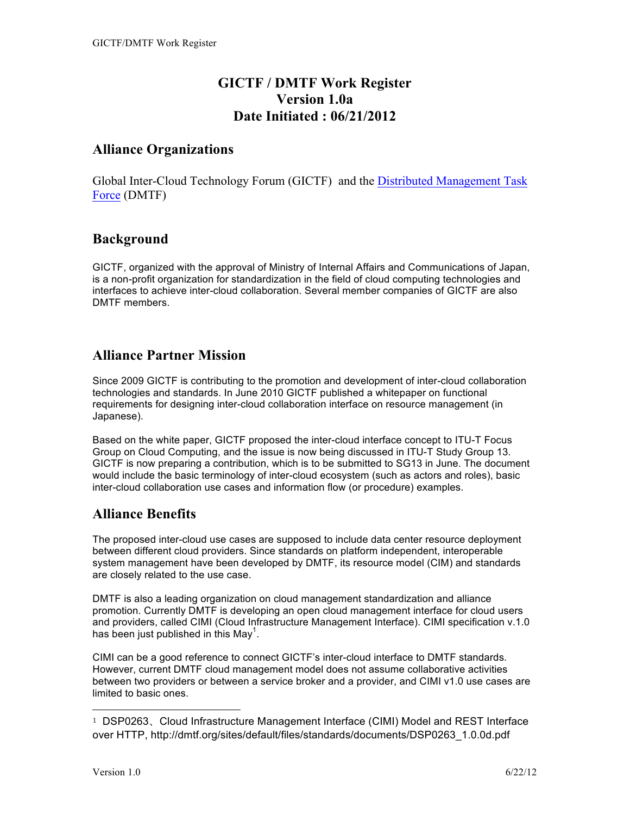## **GICTF / DMTF Work Register Version 1.0a Date Initiated : 06/21/2012**

### **Alliance Organizations**

Global Inter-Cloud Technology Forum (GICTF) and the Distributed Management Task Force (DMTF)

### **Background**

GICTF, organized with the approval of Ministry of Internal Affairs and Communications of Japan, is a non-profit organization for standardization in the field of cloud computing technologies and interfaces to achieve inter-cloud collaboration. Several member companies of GICTF are also DMTF members.

## **Alliance Partner Mission**

Since 2009 GICTF is contributing to the promotion and development of inter-cloud collaboration technologies and standards. In June 2010 GICTF published a whitepaper on functional requirements for designing inter-cloud collaboration interface on resource management (in Japanese).

Based on the white paper, GICTF proposed the inter-cloud interface concept to ITU-T Focus Group on Cloud Computing, and the issue is now being discussed in ITU-T Study Group 13. GICTF is now preparing a contribution, which is to be submitted to SG13 in June. The document would include the basic terminology of inter-cloud ecosystem (such as actors and roles), basic inter-cloud collaboration use cases and information flow (or procedure) examples.

# **Alliance Benefits**

The proposed inter-cloud use cases are supposed to include data center resource deployment between different cloud providers. Since standards on platform independent, interoperable system management have been developed by DMTF, its resource model (CIM) and standards are closely related to the use case.

DMTF is also a leading organization on cloud management standardization and alliance promotion. Currently DMTF is developing an open cloud management interface for cloud users and providers, called CIMI (Cloud Infrastructure Management Interface). CIMI specification v.1.0 has been just published in this May<sup>1</sup>.

CIMI can be a good reference to connect GICTF's inter-cloud interface to DMTF standards. However, current DMTF cloud management model does not assume collaborative activities between two providers or between a service broker and a provider, and CIMI v1.0 use cases are limited to basic ones.

 $\overline{a}$ 

<sup>1</sup> DSP0263、Cloud Infrastructure Management Interface (CIMI) Model and REST Interface over HTTP, http://dmtf.org/sites/default/files/standards/documents/DSP0263\_1.0.0d.pdf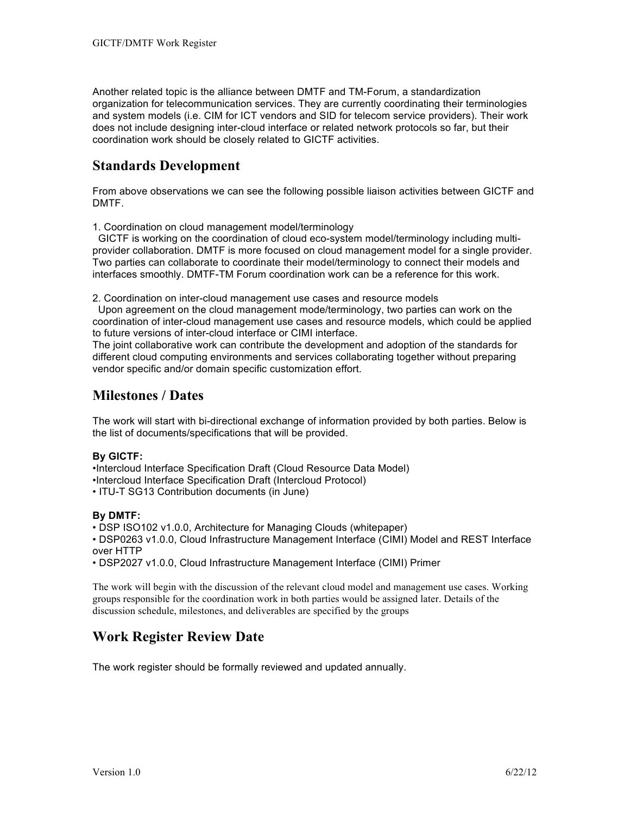Another related topic is the alliance between DMTF and TM-Forum, a standardization organization for telecommunication services. They are currently coordinating their terminologies and system models (i.e. CIM for ICT vendors and SID for telecom service providers). Their work does not include designing inter-cloud interface or related network protocols so far, but their coordination work should be closely related to GICTF activities.

### **Standards Development**

From above observations we can see the following possible liaison activities between GICTF and DMTF.

1. Coordination on cloud management model/terminology

 GICTF is working on the coordination of cloud eco-system model/terminology including multiprovider collaboration. DMTF is more focused on cloud management model for a single provider. Two parties can collaborate to coordinate their model/terminology to connect their models and interfaces smoothly. DMTF-TM Forum coordination work can be a reference for this work.

2. Coordination on inter-cloud management use cases and resource models

 Upon agreement on the cloud management mode/terminology, two parties can work on the coordination of inter-cloud management use cases and resource models, which could be applied to future versions of inter-cloud interface or CIMI interface.

The joint collaborative work can contribute the development and adoption of the standards for different cloud computing environments and services collaborating together without preparing vendor specific and/or domain specific customization effort.

### **Milestones / Dates**

The work will start with bi-directional exchange of information provided by both parties. Below is the list of documents/specifications that will be provided.

#### **By GICTF:**

•Intercloud Interface Specification Draft (Cloud Resource Data Model) •Intercloud Interface Specification Draft (Intercloud Protocol)

• ITU-T SG13 Contribution documents (in June)

### **By DMTF:**

• DSP ISO102 v1.0.0, Architecture for Managing Clouds (whitepaper)

• DSP0263 v1.0.0, Cloud Infrastructure Management Interface (CIMI) Model and REST Interface over HTTP

• DSP2027 v1.0.0, Cloud Infrastructure Management Interface (CIMI) Primer

The work will begin with the discussion of the relevant cloud model and management use cases. Working groups responsible for the coordination work in both parties would be assigned later. Details of the discussion schedule, milestones, and deliverables are specified by the groups

### **Work Register Review Date**

The work register should be formally reviewed and updated annually.